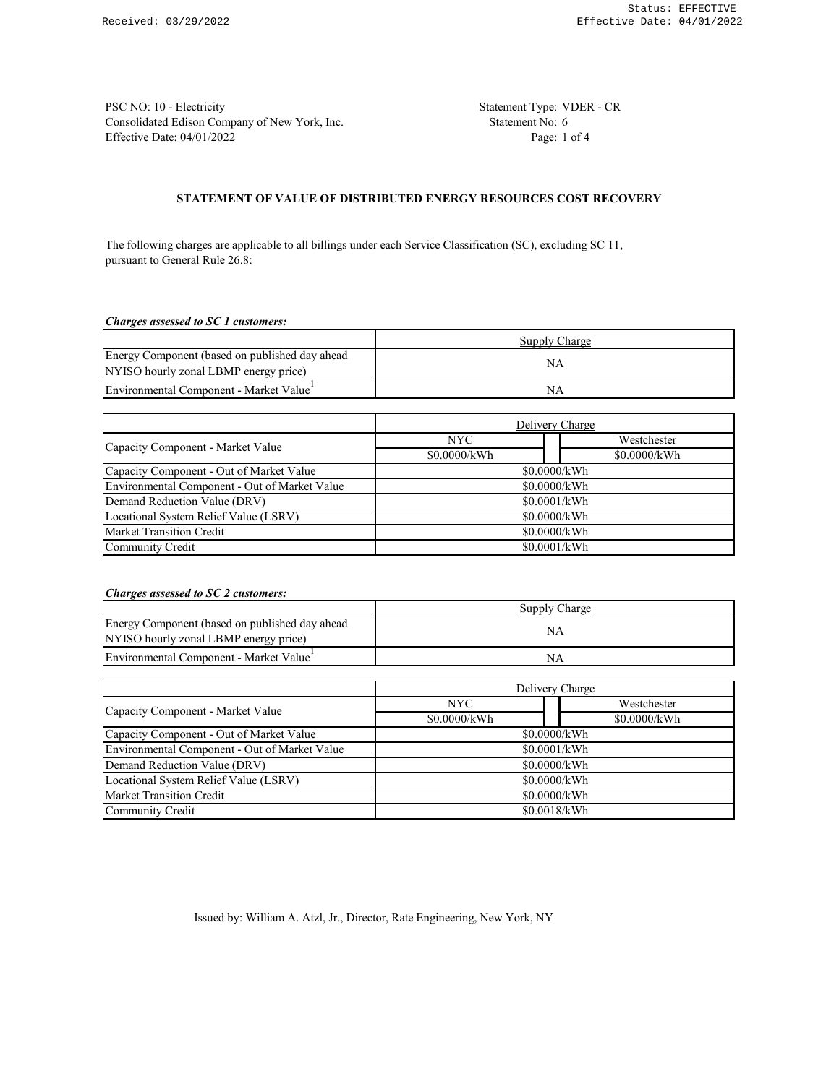PSC NO: 10 - Electricity Statement Type: VDER - CR Consolidated Edison Company of New York, Inc. Statement No: 6 Effective Date: 04/01/2022 Page: 1 of 4

### **STATEMENT OF VALUE OF DISTRIBUTED ENERGY RESOURCES COST RECOVERY**

The following charges are applicable to all billings under each Service Classification (SC), excluding SC 11, pursuant to General Rule 26.8:

### *Charges assessed to SC 1 customers:*

|                                                     | Supply Charge |  |
|-----------------------------------------------------|---------------|--|
| Energy Component (based on published day ahead      | ΝA            |  |
| NYISO hourly zonal LBMP energy price)               |               |  |
| Environmental Component - Market Value <sup>+</sup> | ΝA            |  |

|                                               | Delivery Charge |              |  |
|-----------------------------------------------|-----------------|--------------|--|
| Capacity Component - Market Value             | NYC.            | Westchester  |  |
|                                               | \$0.0000/kWh    | \$0.0000/kWh |  |
| Capacity Component - Out of Market Value      | \$0.0000/kWh    |              |  |
| Environmental Component - Out of Market Value | \$0.0000/kWh    |              |  |
| Demand Reduction Value (DRV)                  | \$0.0001/kWh    |              |  |
| Locational System Relief Value (LSRV)         | \$0.0000/kWh    |              |  |
| <b>Market Transition Credit</b>               | \$0.0000/kWh    |              |  |
| Community Credit                              | \$0.0001/kWh    |              |  |

### *Charges assessed to SC 2 customers:*

|                                                | Supply Charge |  |
|------------------------------------------------|---------------|--|
| Energy Component (based on published day ahead | NΑ            |  |
| NYISO hourly zonal LBMP energy price)          |               |  |
| Environmental Component - Market Value         | NΑ            |  |

|                                               | Delivery Charge |              |  |
|-----------------------------------------------|-----------------|--------------|--|
| Capacity Component - Market Value             | NYC.            | Westchester  |  |
|                                               | \$0.0000/kWh    | \$0.0000/kWh |  |
| Capacity Component - Out of Market Value      | \$0.0000/kWh    |              |  |
| Environmental Component - Out of Market Value | \$0.0001/kWh    |              |  |
| Demand Reduction Value (DRV)                  | \$0.0000/kWh    |              |  |
| Locational System Relief Value (LSRV)         | \$0.0000/kWh    |              |  |
| Market Transition Credit                      | \$0.0000/kWh    |              |  |
| Community Credit                              | \$0.0018/kWh    |              |  |

Issued by: William A. Atzl, Jr., Director, Rate Engineering, New York, NY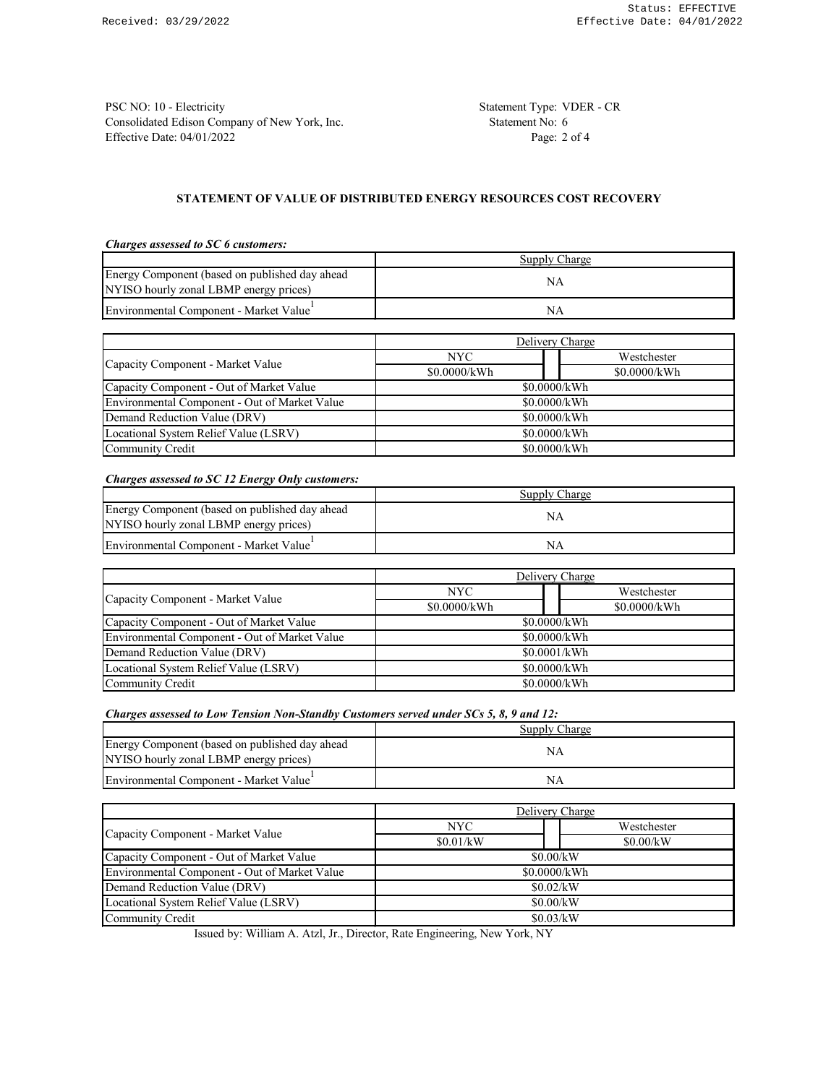PSC NO: 10 - Electricity Statement Type: VDER - CR Consolidated Edison Company of New York, Inc. Statement No: 6 Effective Date: 04/01/2022 Page: 2 of 4

# **STATEMENT OF VALUE OF DISTRIBUTED ENERGY RESOURCES COST RECOVERY**

## *Charges assessed to SC 6 customers:*

|                                                                                          | Supply Charge |
|------------------------------------------------------------------------------------------|---------------|
| Energy Component (based on published day ahead<br>NYISO hourly zonal LBMP energy prices) | NΑ            |
| Environmental Component - Market Value                                                   | ΝA            |

|                                               | Delivery Charge |              |  |
|-----------------------------------------------|-----------------|--------------|--|
|                                               | NYC.            | Westchester  |  |
| Capacity Component - Market Value             | \$0.0000/kWh    | \$0.0000/kWh |  |
| Capacity Component - Out of Market Value      | \$0.0000/kWh    |              |  |
| Environmental Component - Out of Market Value | \$0.0000/kWh    |              |  |
| Demand Reduction Value (DRV)                  | \$0.0000/kWh    |              |  |
| Locational System Relief Value (LSRV)         | \$0.0000/kWh    |              |  |
| Community Credit                              | \$0.0000/kWh    |              |  |

### *Charges assessed to SC 12 Energy Only customers:*

|                                                     | Supply Charge |  |
|-----------------------------------------------------|---------------|--|
| Energy Component (based on published day ahead      |               |  |
| NYISO hourly zonal LBMP energy prices)              |               |  |
| Environmental Component - Market Value <sup>1</sup> | ΝA            |  |

|                                               | Delivery Charge |              |  |
|-----------------------------------------------|-----------------|--------------|--|
| Capacity Component - Market Value             | NYC.            | Westchester  |  |
|                                               | \$0.0000/kWh    | \$0.0000/kWh |  |
| Capacity Component - Out of Market Value      | \$0.0000/kWh    |              |  |
| Environmental Component - Out of Market Value | \$0.0000/kWh    |              |  |
| Demand Reduction Value (DRV)                  | \$0.0001/kWh    |              |  |
| Locational System Relief Value (LSRV)         | \$0.0000/kWh    |              |  |
| Community Credit                              | \$0.0000/kWh    |              |  |

### *Charges assessed to Low Tension Non-Standby Customers served under SCs 5, 8, 9 and 12:*

|                                                | Supply Charge |  |
|------------------------------------------------|---------------|--|
| Energy Component (based on published day ahead |               |  |
| NYISO hourly zonal LBMP energy prices)         |               |  |
| Environmental Component - Market Value         |               |  |

|                                               | Delivery Charge     |           |  |
|-----------------------------------------------|---------------------|-----------|--|
| Capacity Component - Market Value             | NYC.<br>Westchester |           |  |
|                                               | \$0.01/kW           | \$0.00/kW |  |
| Capacity Component - Out of Market Value      | \$0.00/kW           |           |  |
| Environmental Component - Out of Market Value | \$0.0000/kWh        |           |  |
| Demand Reduction Value (DRV)                  | \$0.02/kW           |           |  |
| Locational System Relief Value (LSRV)         | \$0.00/kW           |           |  |
| Community Credit                              | \$0.03/kW           |           |  |

Issued by: William A. Atzl, Jr., Director, Rate Engineering, New York, NY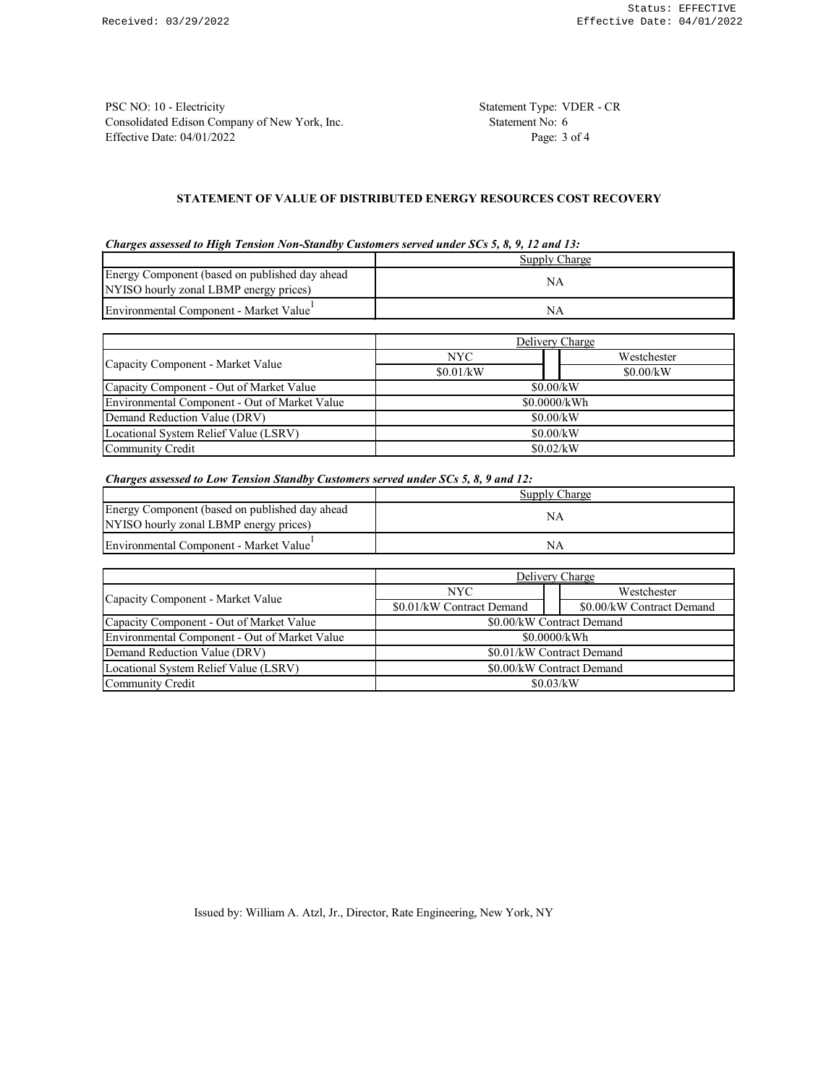PSC NO: 10 - Electricity Statement Type: VDER - CR Consolidated Edison Company of New York, Inc. Statement No: 6 Effective Date: 04/01/2022 Page: 3 of 4

# **STATEMENT OF VALUE OF DISTRIBUTED ENERGY RESOURCES COST RECOVERY**

|  | Charges assessed to High Tension Non-Standby Customers served under SCs 5, 8, 9, 12 and 13: |  |  |
|--|---------------------------------------------------------------------------------------------|--|--|
|  |                                                                                             |  |  |

|                                                                                          | Supply Charge |                 |  |
|------------------------------------------------------------------------------------------|---------------|-----------------|--|
| Energy Component (based on published day ahead<br>NYISO hourly zonal LBMP energy prices) | NA            |                 |  |
| Environmental Component - Market Value                                                   | <b>NA</b>     |                 |  |
|                                                                                          |               |                 |  |
|                                                                                          |               | Delivery Charge |  |
|                                                                                          | NYC.          | Westchester     |  |
| Capacity Component - Market Value                                                        | \$0.01/kW     | \$0.00/kW       |  |
| Capacity Component - Out of Market Value                                                 | \$0.00/kW     |                 |  |
| Environmental Component - Out of Market Value                                            | \$0.0000/kWh  |                 |  |
| Demand Reduction Value (DRV)                                                             | \$0.00/kW     |                 |  |
| Locational System Relief Value (LSRV)                                                    | \$0.00/kW     |                 |  |
| Community Credit                                                                         |               | \$0.02/kW       |  |

*Charges assessed to Low Tension Standby Customers served under SCs 5, 8, 9 and 12:*

|                                                     | Supply Charge |  |
|-----------------------------------------------------|---------------|--|
| Energy Component (based on published day ahead      | ΝA            |  |
| NYISO hourly zonal LBMP energy prices)              |               |  |
| Environmental Component - Market Value <sup>1</sup> | NΑ            |  |

|                                               | Delivery Charge           |  |                           |  |
|-----------------------------------------------|---------------------------|--|---------------------------|--|
| Capacity Component - Market Value             | NYC.                      |  | Westchester               |  |
|                                               | \$0.01/kW Contract Demand |  | \$0.00/kW Contract Demand |  |
| Capacity Component - Out of Market Value      | \$0.00/kW Contract Demand |  |                           |  |
| Environmental Component - Out of Market Value | \$0.0000/kWh              |  |                           |  |
| Demand Reduction Value (DRV)                  | \$0.01/kW Contract Demand |  |                           |  |
| Locational System Relief Value (LSRV)         | \$0.00/kW Contract Demand |  |                           |  |
| Community Credit                              | \$0.03/kW                 |  |                           |  |